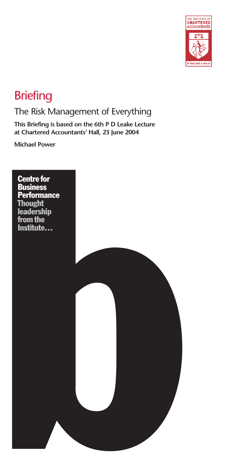

# **Briefing**

### The Risk Management of Everything

**This Briefing is based on the 6th P D Leake Lecture at Chartered Accountants' Hall, 23 June 2004**

**Michael Power**

an charactered Accountants' Hall, 23 June 2004<br>Michael Power<br>Centre for<br>Bussiness<br>Performance<br>Thought<br>Leadership<br>from the<br>Institute... Centre for **Business Performance Thought** leadership from the Institute…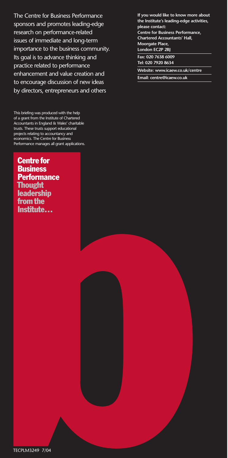The Centre for Business Performance sponsors and promotes leading-edge research on performance-related issues of immediate and long-term importance to the business community. Its goal is to advance thinking and practice related to performance enhancement and value creation and to encourage discussion of new ideas by directors, entrepreneurs and others

 $\begin{array}{lcl} \textbf{Centre for} \\\textbf{Business} \\\ \textbf{Peotomance} \\\ \textbf{Indexhip} \\\ \textbf{Institute} \\\ \textbf{Institute} \\\ \textbf{Institute} \\\ \textbf{Institute} \\\ \textbf{Institute} \\\ \textbf{Institute} \\\ \textbf{Institute} \\\ \textbf{Institute} \\\ \textbf{Institute} \\\ \textbf{Institute} \\\ \textbf{Institute} \\\ \textbf{Institute} \\\ \textbf{Institute} \\\ \textbf{Institute} \\\ \textbf{Institute} \\\ \textbf{Institute} \\\ \textbf{Institute} \\\ \textbf{Institute} \\\ \textbf{Institute} \\\ \textbf{In$ This briefing was produced with the help of a grant from the Institute of Chartered Accountants in England & Wales' charitable trusts. These trusts support educational projects relating to accountancy and economics. The Centre for Business Performance manages all grant applications.

Centre for **Business Performance Thought** leadership from the Institute…

**If you would like to know more about the Institute's leading-edge activities, please contact: Centre for Business Performance, Chartered Accountants' Hall, Moorgate Place, London EC2P 2BJ Fax: 020 7638 6009 Tel: 020 7920 8634 Website: www.icaew.co.uk/centre**

**Email: centre@icaew.co.uk**

TECPLM3249 7/04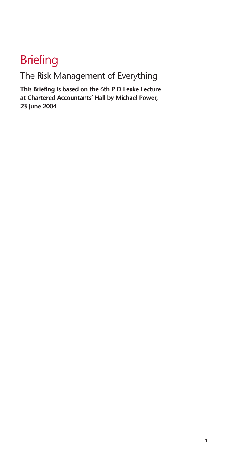# **Briefing**

The Risk Management of Everything

**This Briefing is based on the 6th P D Leake Lecture at Chartered Accountants' Hall by Michael Power, 23 June 2004**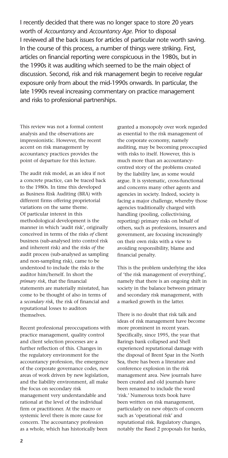I recently decided that there was no longer space to store 20 years worth of *Accountancy* and *Accountancy Age*. Prior to disposal I reviewed all the back issues for articles of particular note worth saving. In the course of this process, a number of things were striking. First, articles on financial reporting were conspicuous in the 1980s, but in the 1990s it was auditing which seemed to be the main object of discussion. Second, risk and risk management begin to receive regular exposure only from about the mid-1990s onwards. In particular, the late 1990s reveal increasing commentary on practice management and risks to professional partnerships.

This review was not a formal content analysis and the observations are impressionistic. However, the recent accent on risk management by accountancy practices provides the point of departure for this lecture.

The audit risk model, as an idea if not a concrete practice, can be traced back to the 1980s. In time this developed as Business Risk Auditing (BRA) with different firms offering proprietorial variations on the same theme. Of particular interest in this methodological development is the manner in which 'audit risk', originally conceived in terms of the risks *of* client business (sub-analysed into control risk and inherent risk) and the risks *of* the audit process (sub-analysed as sampling and non-sampling risk), came to be understood to include the risks *to* the auditor him/herself. In short the *primary risk*, that the financial statements are materially misstated, has come to be thought of also in terms of a *secondary risk*, the risk of financial and reputational losses to auditors themselves.

Recent professional preoccupations with practice management, quality control and client selection processes are a further reflection of this. Changes in the regulatory environment for the accountancy profession, the emergence of the corporate governance codes, new areas of work driven by new legislation, and the liability environment, all make the focus on secondary risk management very understandable and rational at the level of the individual firm or practitioner. At the macro or systemic level there is more cause for concern. The accountancy profession as a whole, which has historically been

granted a monopoly over work regarded as essential to the risk management of the corporate economy, namely auditing, may be becoming preoccupied with risks to itself. However, this is much more than an accountancycentred story of the problems created by the liability law, as some would argue. It is systematic, cross-functional and concerns many other agents and agencies in society. Indeed, society is facing a major challenge, whereby those agencies traditionally charged with handling (pooling, collectivising, reporting) primary risks on behalf of others, such as professions, insurers and government, are focusing increasingly on their own risks with a view to avoiding responsibility, blame and financial penalty.

This is the problem underlying the idea of 'the risk management of everything', namely that there is an ongoing shift in society in the balance between primary and secondary risk management, with a marked growth in the latter.

There is no doubt that risk talk and ideas of risk management have become more prominent in recent years. Specifically, since 1995, the year that Barings bank collapsed and Shell experienced reputational damage with the disposal of Brent Spar in the North Sea, there has been a literature and conference explosion in the risk management area. New journals have been created and old journals have been renamed to include the word 'risk.' Numerous texts book have been written on risk management, particularly on new objects of concern such as 'operational risk' and reputational risk. Regulatory changes, notably the Basel 2 proposals for banks,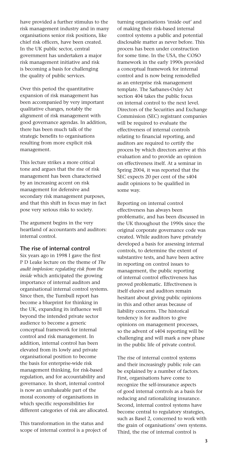have provided a further stimulus to the risk management industry and in many organisations senior risk positions, like chief risk officers, have been created. In the UK public sector, central government has undertaken a major risk management initiative and risk is becoming a basis for challenging the quality of public services.

Over this period the quantitative expansion of risk management has been accompanied by very important qualitative changes, notably the alignment of risk management with good governance agendas. In addition, there has been much talk of the strategic benefits to organisations resulting from more explicit risk management.

This lecture strikes a more critical tone and argues that the rise of risk management has been characterised by an increasing accent on risk management for defensive and secondary risk management purposes, and that this shift in focus may in fact pose very serious risks to society.

The argument begins in the very heartland of accountants and auditors: internal control.

#### **The rise of internal control**

Six years ago in 1998 I gave the first P D Leake lecture on the theme of *The audit implosion: regulating risk from the inside* which anticipated the growing importance of internal auditors and organisational internal control systems. Since then, the Turnbull report has become a blueprint for thinking in the UK, expanding its influence well beyond the intended private sector audience to become a generic conceptual framework for internal control and risk management. In addition, internal control has been elevated from its lowly and private organisational position to become the basis for enterprise-wide risk management thinking, for risk-based regulation, and for accountability and governance. In short, internal control is now an unshakeable part of the moral economy of organisations in which specific responsibilities for different categories of risk are allocated.

This transformation in the status and scope of internal control is a project of

turning organisations 'inside out' and of making their risk-based internal control systems a public and potential disclosable matter as never before. This process has been under construction for some time. In the USA, the COSO framework in the early 1990s provided a conceptual framework for internal control and is now being remodelled as an enterprise risk management template. The Sarbanes-Oxley Act section 404 takes the public focus on internal control to the next level. Directors of the Securities and Exchange Commission (SEC) registrant companies will be required to evaluate the effectiveness of internal controls relating to financial reporting, and auditors are required to certify the process by which directors arrive at this evaluation and to provide an opinion on effectiveness itself. At a seminar in Spring 2004, it was reported that the SEC expects 20 per cent of the s404 audit opinions to be qualified in some way.

Reporting on internal control effectiveness has always been problematic, and has been discussed in the UK throughout the 1990s since the original corporate governance code was created. While auditors have privately developed a basis for assessing internal controls, to determine the extent of substantive tests, and have been active in reporting on control issues to management, the public reporting of internal control effectiveness has proved problematic. Effectiveness is itself elusive and auditors remain hesitant about giving public opinions in this and other areas because of liability concerns. The historical tendency is for auditors to give opinions on management processes, so the advent of s404 reporting will be challenging and will mark a new phase in the public life of private control.

The rise of internal control systems and their increasingly public role can be explained by a number of factors. First, organisations have come to recognize the self-insurance aspects of good internal controls as a basis for reducing and rationalizing insurance. Second, internal control systems have become central to regulatory strategies, such as Basel 2, concerned to work with the grain of organisations' own systems. Third, the rise of internal control is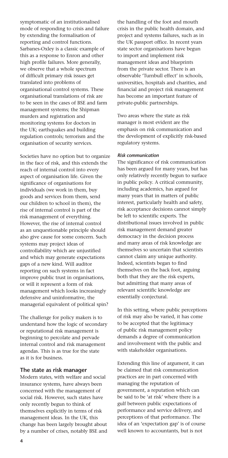symptomatic of an institutionalised mode of responding to crisis and failure by extending the formalisation of reporting and control functions. Sarbanes-Oxley is a classic example of this as a response to Enron and other high profile failures. More generally, we observe that a whole spectrum of difficult primary risk issues get translated into problems of organisational control systems. These organisational translations of risk are to be seen in the cases of BSE and farm management systems; the Shipman murders and registration and monitoring systems for doctors in the UK; earthquakes and building regulation controls; terrorism and the organisation of security services.

Societies have no option but to organize in the face of risk, and this extends the reach of internal control into every aspect of organisation life. Given the significance of organisations for individuals (we work in them, buy goods and services from them, send our children to school in them), the rise of internal control is part of the risk management of everything. However, the rise of internal control as an unquestionable principle should also give cause for some concern. Such systems may project ideas of controllability which are unjustified and which may generate expectations gaps of a new kind. Will auditor reporting on such systems in fact improve public trust in organisations, or will it represent a form of risk management which looks increasingly defensive and uninformative, the managerial equivalent of political spin?

The challenge for policy makers is to understand how the logic of secondary or reputational risk management is beginning to percolate and pervade internal control and risk management agendas. This is as true for the state as it is for business.

#### **The state as risk manager**

Modern states, with welfare and social insurance systems, have always been concerned with the management of social risk. However, such states have only recently begun to think of themselves explicitly in terms of risk management ideas. In the UK, this change has been largely brought about by a number of crises, notably BSE and

the handling of the foot and mouth crisis in the public health domain, and project and systems failures, such as in the UK passport office. In recent years state sector organisations have begun to import and implement risk management ideas and blueprints from the private sector. There is an observable 'Turnbull effect' in schools, universities, hospitals and charities, and financial and project risk management has become an important feature of private-public partnerships.

Two areas where the state as risk manager is most evident are the emphasis on risk communication and the development of explicitly risk-based regulatory systems.

#### *Risk communication*

The significance of risk communication has been argued for many years, but has only relatively recently begun to surface in public policy. A critical community, including academics, has argued for many years that in matters of public interest, particularly health and safety, risk acceptance decisions cannot simply be left to scientific experts. The distributional issues involved in public risk management demand greater democracy in the decision process and many areas of risk knowledge are themselves so uncertain that scientists cannot claim any unique authority. Indeed, scientists began to find themselves on the back foot, arguing both that they are the risk experts, but admitting that many areas of relevant scientific knowledge are essentially conjectural.

In this setting, where public perceptions of risk may also be varied, it has come to be accepted that the legitimacy of public risk management policy demands a degree of communication and involvement with the public and with stakeholder organisations.

Extending this line of argument, it can be claimed that risk communication practices are in part concerned with managing the reputation of government, a reputation which can be said to be 'at risk' where there is a gulf between public expectations of performance and service delivery, and perceptions of that performance. The idea of an 'expectation gap' is of course well known to accountants, but is not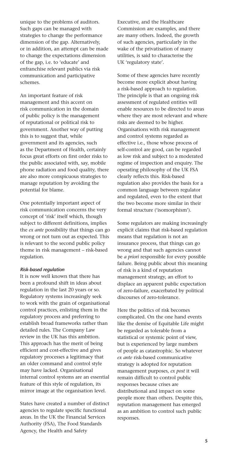unique to the problems of auditors. Such gaps can be managed with strategies to change the performance dimension of the gap. Alternatively, or in addition, an attempt can be made to change the expectations dimension of the gap, i.e. to 'educate' and enfranchise relevant publics via risk communication and participative schemes.

An important feature of risk management and this accent on risk communication in the domain of public policy is the management of reputational or political risk to government. Another way of putting this is to suggest that, while government and its agencies, such as the Department of Health, certainly focus great efforts on first order risks to the public associated with, say, mobile phone radiation and food quality, there are also more conspicuous strategies to manage reputation by avoiding the potential for blame.

One potentially important aspect of risk communication concerns the very concept of 'risk' itself which, though subject to different definitions, implies the *ex ante* possibility that things can go wrong or not turn out as expected. This is relevant to the second public policy theme in risk management – risk-based regulation.

#### *Risk-based regulation*

It is now well known that there has been a profound shift in ideas about regulation in the last 20 years or so. Regulatory systems increasingly seek to work with the grain of organisational control practices, enlisting them in the regulatory process and preferring to establish broad frameworks rather than detailed rules. The Company Law review in the UK has this ambition. This approach has the merit of being efficient and cost-effective and gives regulatory processes a legitimacy that an older command and control style may have lacked. Organisational internal control systems are an essential feature of this style of regulation, its mirror image at the organisation level.

States have created a number of distinct agencies to regulate specific functional areas. In the UK the Financial Services Authority (FSA), The Food Standards Agency, the Health and Safety

Executive, and the Healthcare Commission are examples, and there are many others. Indeed, the growth of such agencies, particularly in the wake of the privatisation of many utilities, is said to characterise the UK 'regulatory state'.

Some of these agencies have recently become more explicit about having a risk-based approach to regulation. The principle is that an ongoing risk assessment of regulated entities will enable resources to be directed to areas where they are most relevant and where risks are deemed to be higher. Organisations with risk management and control systems regarded as effective i.e., those whose process of self-control are good, can be regarded as low risk and subject to a moderated regime of inspection and enquiry. The operating philosophy of the UK FSA clearly reflects this. Risk-based regulation also provides the basis for a common language between regulator and regulated, even to the extent that the two become more similar in their formal structure ('isomorphism').

Some regulators are making increasingly explicit claims that risk-based regulation means that regulation is not an insurance process, that things can go wrong and that such agencies cannot be *a priori* responsible for every possible failure. Being public about this meaning of risk is a kind of reputation management strategy, an effort to displace an apparent public expectation of zero-failure, exacerbated by political discourses of zero-tolerance.

Here the politics of risk becomes complicated. On the one hand events like the demise of Equitable Life might be regarded as tolerable from a statistical or systemic point of view, but is experienced by large numbers of people as catastrophic. So whatever *ex ante* risk-based communicative strategy is adopted for reputation management purposes, *ex post* it will remain difficult to control public responses because crises are distributional and impact on some people more than others. Despite this, reputation management has emerged as an ambition to control such public responses.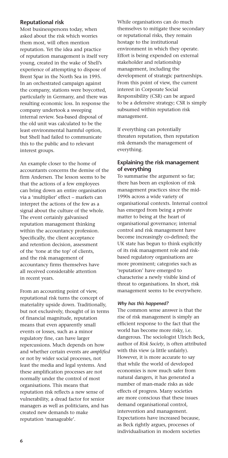#### **Reputational risk**

Most businesspersons today, when asked about the risk which worries them most, will often mention reputation. Yet the idea and practice of reputation management is itself very young, created in the wake of Shell's experience of attempting to dispose of Brent Spar in the North Sea in 1995. In an orchestrated campaign against the company, stations were boycotted, particularly in Germany, and there was resulting economic loss. In response the company undertook a sweeping internal review. Sea-based disposal of the old unit was calculated to be the least environmental harmful option, but Shell had failed to communicate this to the public and to relevant interest groups.

An example closer to the home of accountants concerns the demise of the firm Andersen. The lesson seems to be that the actions of a few employees can bring down an entire organisation via a 'multiplier' effect – markets can interpret the actions of the few as a signal about the culture of the whole. The event certainly galvanised reputation management thinking within the accountancy profession. Specifically, the client acceptance and retention decision, assessment of the 'tone at the top' of clients, and the risk management of accountancy firms themselves have all received considerable attention in recent years.

From an accounting point of view, reputational risk turns the concept of materiality upside down. Traditionally, but not exclusively, thought of in terms of financial magnitude, reputation means that even apparently small events or losses, such as a minor regulatory fine, can have larger repercussions. Much depends on how and whether certain events are *amplified* or not by wider social processes, not least the media and legal systems. And these amplification processes are not normally under the control of most organisations. This means that reputation risk reflects a new sense of vulnerability, a dread factor for senior managers as well as politicians, and has created new demands to make reputation 'manageable'.

While organisations can do much themselves to mitigate these secondary or reputational risks, they remain hostage to the institutional environment in which they operate. Effort is being expended on external stakeholder and relationship management, including the development of strategic partnerships. From this point of view, the current interest in Corporate Social Responsibility (CSR) can be argued to be a defensive strategy; CSR is simply subsumed within reputation risk management.

If everything can potentially threaten reputation, then reputation risk demands the management of everything.

#### **Explaining the risk management of everything**

To summarise the argument so far; there has been an explosion of risk management practices since the mid-1990s across a wide variety of organisational contexts. Internal control has emerged from being a private matter to being at the heart of organisational governance; internal control and risk management have become increasingly co-defined; the UK state has begun to think explicitly of its risk management role and riskbased regulatory organisations are more prominent; categories such as 'reputation' have emerged to characterise a newly visible kind of threat to organisations. In short, risk management seems to be everywhere.

#### *Why has this happened?*

The common sense answer is that the rise of risk management is simply an efficient response to the fact that the world has become more risky, i.e. dangerous. The sociologist Ulrich Beck, author of *Risk Society*, is often attributed with this view (a little unfairly). However, it is more accurate to say that while the world of developed economies is now much safer from natural dangers, it has generated a number of man-made risks as side effects of progress. Many societies are more conscious that these issues demand organisational control, intervention and management. Expectations have increased because, as Beck rightly argues, processes of individualisation in modern societies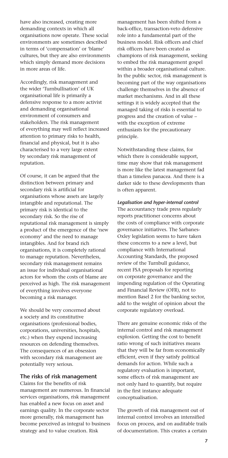have also increased, creating more demanding contexts in which all organisations now operate. These social environments are sometimes described in terms of 'compensation' or 'blame' cultures, but they are also environments which simply demand more decisions in more areas of life.

Accordingly, risk management and the wider 'Turnbullisation' of UK organisational life is primarily a defensive response to a more activist and demanding organisational environment of consumers and stakeholders. The risk management of everything may well reflect increased attention to primary risks to health, financial and physical, but it is also characterised to a very large extent by secondary risk management of reputation.

Of course, it can be argued that the distinction between primary and secondary risk is artificial for organisations whose assets are largely intangible and reputational. The primary risk is identical to the secondary risk. So the rise of reputational risk management is simply a product of the emergence of the 'new economy' and the need to manage intangibles. And for brand rich organisations, it is completely rational to manage reputation. Nevertheless, secondary risk management remains an issue for individual organisational actors for whom the costs of blame are perceived as high. The risk management of everything involves everyone becoming a risk manager.

We should be very concerned about a society and its constitutive organisations (professional bodies, corporations, universities, hospitals, etc.) when they expend increasing resources on defending themselves. The consequences of an obsession with secondary risk management are potentially very serious.

#### **The risks of risk management**

Claims for the benefits of risk management are numerous. In financial services organisations, risk management has enabled a new focus on asset and earnings quality. In the corporate sector more generally, risk management has become perceived as integral to business strategy and to value creation. Risk

management has been shifted from a back-office, transaction-veto defensive role into a fundamental part of the business model. Risk officers and chief risk officers have been created as champions of risk management, seeking to embed the risk management gospel within a broader organisational culture. In the public sector, risk management is becoming part of the way organisations challenge themselves in the absence of market mechanisms. And in all these settings it is widely accepted that the managed taking of risks is essential to progress and the creation of value – with the exception of extreme enthusiasts for the precautionary principle.

Notwithstanding these claims, for which there is considerable support, time may show that risk management is more like the latest management fad than a timeless panacea. And there is a darker side to these developments than is often apparent.

*Legalisation and hyper-internal control* The accountancy trade press regularly reports practitioner concerns about the costs of compliance with corporate governance initiatives. The Sarbanes-Oxley legislation seems to have taken these concerns to a new a level, but compliance with International Accounting Standards, the proposed review of the Turnbull guidance, recent FSA proposals for reporting on corporate governance and the impending regulation of the Operating and Financial Review (OFR), not to mention Basel 2 for the banking sector, add to the weight of opinion about the corporate regulatory overload.

There are genuine economic risks of the internal control and risk management explosion. Getting the cost to benefit ratio wrong of such initiatives means that they will be far from economically efficient, even if they satisfy political demands for action. While such a regulatory evaluation is important, some effects of risk management are not only hard to quantify, but require in the first instance adequate conceptualisation.

The growth of risk management out of internal control involves an intensified focus on process, and on auditable trails of documentation. This creates a certain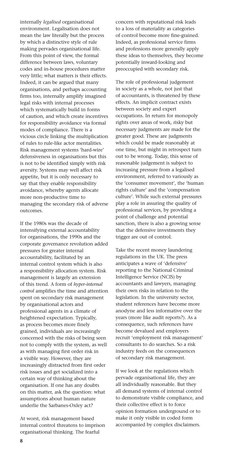internally *legalised* organisational environment. Legalisation does not mean the law literally but the process by which a distinctive style of rule making pervades organisational life. From this point of view, the formal difference between laws, voluntary codes and in-house procedures matter very little; what matters is their effects. Indeed, it can be argued that many organisations, and perhaps accounting firms too, internally amplify imagined legal risks with internal processes which systematically build in forms of caution, and which create incentives for responsibility avoidance via formal modes of compliance. There is a vicious circle linking the multiplication of rules to rule-like actor mentalities. Risk management systems 'hard-wire' defensiveness in organisations but this is not to be identified simply with risk aversity. Systems may well affect risk appetite, but it is only necessary to say that they enable responsibility avoidance, whereby agents allocate more non-productive time to managing the secondary risk of adverse outcomes.

If the 1980s was the decade of intensifying external accountability for organisations, the 1990s and the corporate governance revolution added pressures for greater internal accountability, facilitated by an internal control system which is also a responsibility allocation system. Risk management is largely an extension of this trend. A form of *hyper-internal control* amplifies the time and attention spent on secondary risk management by organisational actors and professional agents in a climate of heightened expectation. Typically, as process becomes more finely grained, individuals are increasingly concerned with the risks of being seen not to comply with the system, as well as with managing first order risk in a visible way. However, they are increasingly distracted from first order risk issues and get socialized into a certain way of thinking about the organisation. If one has any doubts on this matter, ask the question: what assumptions about human nature underlie the Sarbanes-Oxley act?

At worst, risk management based internal control threatens to imprison organisational thinking. The fearful

concern with reputational risk leads to a loss of materiality as categories of control become more fine-grained. Indeed, as professional service firms and professions more generally apply these ideas to themselves, they become potentially inward-looking and preoccupied with secondary risk.

The role of professional judgement in society as a whole, not just that of accountants, is threatened by these effects. An implicit contract exists between society and expert occupations. In return for monopoly rights over areas of work, risky but necessary judgments are made for the greater good. These are judgments which could be made reasonably at one time, but might in retrospect turn out to be wrong. Today, this sense of reasonable judgement is subject to increasing pressure from a legalised environment, referred to variously as the 'consumer movement', the 'human rights culture' and the 'compensation culture'. While such external pressures play a role in assuring the quality of professional services, by providing a point of challenge and potential sanction, there is also a growing sense that the defensive investments they trigger are out of control.

Take the recent money laundering regulations in the UK. The press anticipates a wave of 'defensive' reporting to the National Criminal Intelligence Service (NCIS) by accountants and lawyers, managing their own risks in relation to the legislation. In the university sector, student references have become more anodyne and less informative over the years (more like audit reports?). As a consequence, such references have become devalued and employers recruit 'employment risk management' consultants to do searches. So a risk industry feeds on the consequences of secondary risk management.

If we look at the regulations which pervade organisational life, they are all individually reasonable. But they all demand systems of internal control to demonstrate visible compliance, and their collective effect is to force opinion formation underground or to make it only visible in coded form accompanied by complex disclaimers.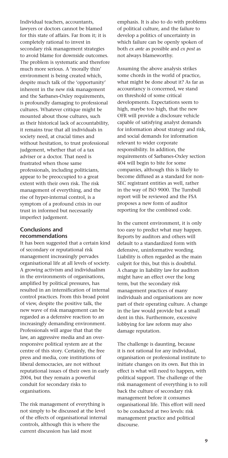Individual teachers, accountants, lawyers or doctors cannot be blamed for this state of affairs. Far from it; it is completely rational to invest in secondary risk management strategies to avoid blame for downside outcomes. The problem is systematic and therefore much more serious. A 'morally thin' environment is being created which, despite much talk of the 'opportunity' inherent in the new risk management and the Sarbanes-Oxley requirements, is profoundly damaging to professional cultures. Whatever critique might be mounted about those cultures, such as their historical lack of accountability, it remains true that all individuals in society need, at crucial times and without hesitation, to trust professional judgement, whether that of a tax adviser or a doctor. That need is frustrated when those same professionals, including politicians, appear to be preoccupied to a great extent with their own risk. The risk management of everything, and the rise of hyper-internal control, is a symptom of a profound crisis in our trust in informed but necessarily imperfect judgement.

#### **Conclusions and recommendations**

It has been suggested that a certain kind of secondary or reputational risk management increasingly pervades organisational life at all levels of society. A growing activism and individualism in the environments of organisations, amplified by political pressures, has resulted in an intensification of internal control practices. From this broad point of view, despite the positive talk, the new wave of risk management can be regarded as a defensive reaction to an increasingly demanding environment. Professionals will argue that that the law, an aggressive media and an overresponsive political system are at the centre of this story. Certainly, the free press and media, core institutions of liberal democracies, are not without reputational issues of their own in early 2004, but they remain a powerful conduit for secondary risks to organisations.

The risk management of everything is not simply to be discussed at the level of the effects of organisational internal controls, although this is where the current discussion has laid most

emphasis. It is also to do with problems of political culture, and the failure to develop a politics of uncertainty in which failure can be openly spoken of both *ex ante* as possible and *ex post* as not always blameworthy.

Assuming the above analysis strikes some chords in the world of practice, what might be done about it? As far as accountancy is concerned, we stand on threshold of some critical developments. Expectations seem to high, maybe too high, that the new OFR will provide a disclosure vehicle capable of satisfying analyst demands for information about strategy and risk, and social demands for information relevant to wider corporate responsibility. In addition, the requirements of Sarbanes-Oxley section 404 will begin to bite for some companies, although this is likely to become diffused as a standard for non-SEC registrant entities as well, rather in the way of ISO 9000. The Turnbull report will be reviewed and the FSA proposes a new form of auditor reporting for the combined code.

In the current environment, it is only too easy to predict what may happen. Reports by auditors and others will default to a standardized form with defensive, uninformative wording. Liability is often regarded as the main culprit for this, but this is doubtful. A change in liability law for auditors might have an effect over the long term, but the secondary risk management practices of many individuals and organisations are now part of their operating culture. A change in the law would provide but a small dent in this. Furthermore, excessive lobbying for law reform may also damage reputation.

The challenge is daunting, because it is not rational for any individual, organisation or professional institute to initiate changes on its own. But this in effect is what will need to happen, with political support. The challenge of the risk management of everything is to roll back the culture of secondary risk management before it consumes organisational life. This effort will need to be conducted at two levels: risk management practice and political discourse.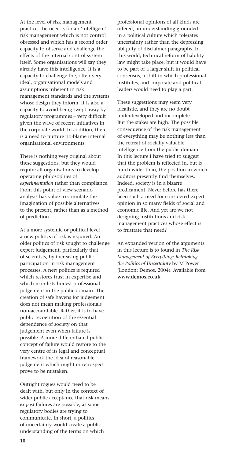At the level of risk management practice, the need is for an 'intelligent' risk management which is not control obsessed and which has a second order capacity to observe and challenge the effects of the internal control system itself. Some organisations will say they already have this intelligence. It is a capacity to challenge the, often very ideal, organisational models and assumptions inherent in risk management standards and the systems whose design they inform. It is also a capacity to avoid being swept away by regulatory programmes – very difficult given the wave of recent initiatives in the corporate world. In addition, there is a need to nurture no-blame internal organisational environments.

There is nothing very original about these suggestions, but they would require all organisations to develop operating philosophies of *experimentation* rather than compliance. From this point of view scenario analysis has value to stimulate the imagination of possible alternatives to the present, rather than as a method of prediction.

At a more systemic or political level a new politics of risk is required. An older politics of risk sought to challenge expert judgement, particularly that of scientists, by increasing public participation in risk management processes. A new politics is required which restores trust in expertise and which re-enlists honest professional judgement in the public domain. The creation of safe havens for judgement does not mean making professionals non-accountable. Rather, it is to have public recognition of the essential dependence of society on that judgement even when failure is possible. A more differentiated public concept of failure would restore to the very centre of its legal and conceptual framework the idea of reasonable judgement which might in retrospect prove to be mistaken.

Outright rogues would need to be dealt with, but only in the context of wider public acceptance that risk means *ex post* failures are possible, as some regulatory bodies are trying to communicate. In short, a politics of uncertainty would create a public understanding of the terms on which

professional opinions of all kinds are offered, an understanding grounded in a political culture which tolerates uncertainty rather than the depressing ubiquity of disclaimer paragraphs. In this world, technical reform of liability law might take place, but it would have to be part of a larger shift in political consensus, a shift in which professional institutes, and corporate and political leaders would need to play a part.

These suggestions may seem very idealistic, and they are no doubt underdeveloped and incomplete. But the stakes are high. The possible consequence of the risk management of everything may be nothing less than the retreat of socially valuable intelligence from the public domain. In this lecture I have tried to suggest that the problem is reflected in, but is much wider than, the position in which auditors presently find themselves. Indeed, society is in a bizarre predicament. Never before has there been such a need for considered expert opinion in so many fields of social and economic life. And yet are we not designing institutions and risk management practices whose effect is to frustrate that need?

An expanded version of the arguments in this lecture is to found in *The Risk Management of Everything: Rethinking the Politics of Uncertainty* by M Power (London: Demos, 2004). Available from **www.demos.co.uk**.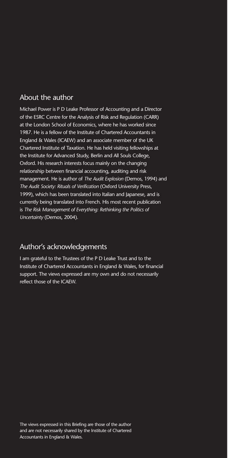### About the author

Michael Power is P D Leake Professor of Accounting and a Director of the ESRC Centre for the Analysis of Risk and Regulation (CARR) at the London School of Economics, where he has worked since 1987. He is a fellow of the Institute of Chartered Accountants in England & Wales (ICAEW) and an associate member of the UK Chartered Institute of Taxation. He has held visiting fellowships at the Institute for Advanced Study, Berlin and All Souls College, Oxford. His research interests focus mainly on the changing relationship between financial accounting, auditing and risk management. He is author of *The Audit Explosion* (Demos, 1994) and *The Audit Society: Rituals of Verification* (Oxford University Press, 1999), which has been translated into Italian and Japanese, and is currently being translated into French. His most recent publication is *The Risk Management of Everything: Rethinking the Politics of Uncertainty* (Demos, 2004).

### Author's acknowledgements

I am grateful to the Trustees of the P D Leake Trust and to the Institute of Chartered Accountants in England & Wales, for financial support. The views expressed are my own and do not necessarily reflect those of the ICAEW.